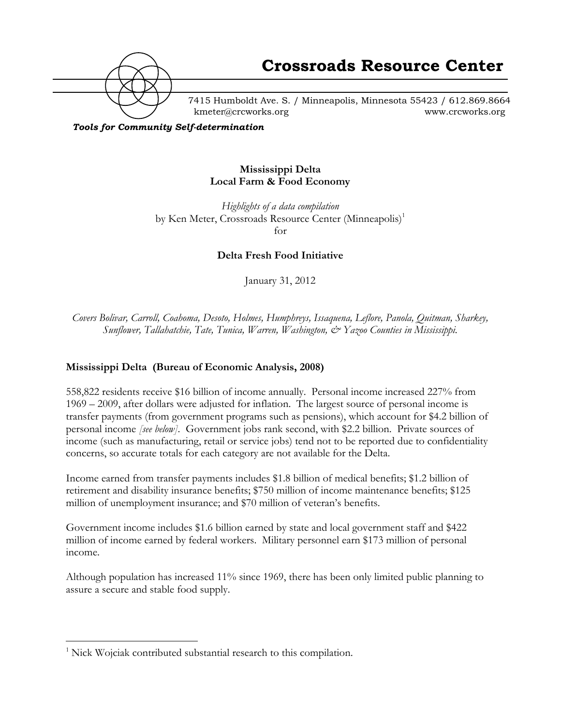

7415 Humboldt Ave. S. / Minneapolis, Minnesota 55423 / 612.869.8664 kmeter@crcworks.org www.crcworks.org

*Tools for Community Self-determination*

#### **Mississippi Delta Local Farm & Food Economy**

*Highlights of a data compilation* by Ken Meter, Crossroads Resource Center (Minneapolis)<sup>1</sup> for

**Delta Fresh Food Initiative**

January 31, 2012

*Covers Bolivar, Carroll, Coahoma, Desoto, Holmes, Humphreys, Issaquena, Leflore, Panola, Quitman, Sharkey, Sunflower, Tallahatchie, Tate, Tunica, Warren, Washington, & Yazoo Counties in Mississippi.*

#### **Mississippi Delta (Bureau of Economic Analysis, 2008)**

558,822 residents receive \$16 billion of income annually. Personal income increased 227% from 1969 – 2009, after dollars were adjusted for inflation. The largest source of personal income is transfer payments (from government programs such as pensions), which account for \$4.2 billion of personal income *[see below]*. Government jobs rank second, with \$2.2 billion. Private sources of income (such as manufacturing, retail or service jobs) tend not to be reported due to confidentiality concerns, so accurate totals for each category are not available for the Delta.

Income earned from transfer payments includes \$1.8 billion of medical benefits; \$1.2 billion of retirement and disability insurance benefits; \$750 million of income maintenance benefits; \$125 million of unemployment insurance; and \$70 million of veteran's benefits.

Government income includes \$1.6 billion earned by state and local government staff and \$422 million of income earned by federal workers. Military personnel earn \$173 million of personal income.

Although population has increased 11% since 1969, there has been only limited public planning to assure a secure and stable food supply.

 $\frac{1}{1}$  $<sup>1</sup>$  Nick Wojciak contributed substantial research to this compilation.</sup>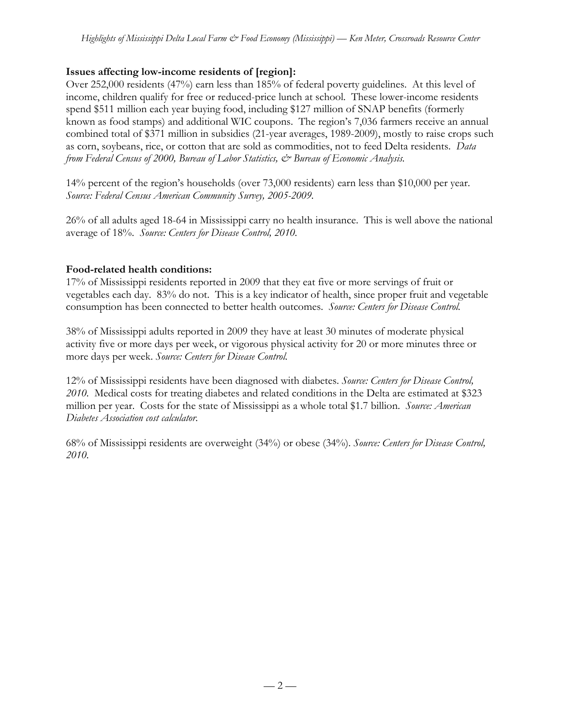# **Issues affecting low-income residents of [region]:**

Over 252,000 residents (47%) earn less than 185% of federal poverty guidelines. At this level of income, children qualify for free or reduced-price lunch at school. These lower-income residents spend \$511 million each year buying food, including \$127 million of SNAP benefits (formerly known as food stamps) and additional WIC coupons. The region's 7,036 farmers receive an annual combined total of \$371 million in subsidies (21-year averages, 1989-2009), mostly to raise crops such as corn, soybeans, rice, or cotton that are sold as commodities, not to feed Delta residents. *Data from Federal Census of 2000, Bureau of Labor Statistics, & Bureau of Economic Analysis.*

14% percent of the region's households (over 73,000 residents) earn less than \$10,000 per year. *Source: Federal Census American Community Survey, 2005-2009.*

26% of all adults aged 18-64 in Mississippi carry no health insurance. This is well above the national average of 18%. *Source: Centers for Disease Control, 2010.*

#### **Food-related health conditions:**

17% of Mississippi residents reported in 2009 that they eat five or more servings of fruit or vegetables each day. 83% do not. This is a key indicator of health, since proper fruit and vegetable consumption has been connected to better health outcomes. *Source: Centers for Disease Control.*

38% of Mississippi adults reported in 2009 they have at least 30 minutes of moderate physical activity five or more days per week, or vigorous physical activity for 20 or more minutes three or more days per week. *Source: Centers for Disease Control.*

12% of Mississippi residents have been diagnosed with diabetes. *Source: Centers for Disease Control, 2010.* Medical costs for treating diabetes and related conditions in the Delta are estimated at \$323 million per year. Costs for the state of Mississippi as a whole total \$1.7 billion. *Source: American Diabetes Association cost calculator.*

68% of Mississippi residents are overweight (34%) or obese (34%). *Source: Centers for Disease Control, 2010.*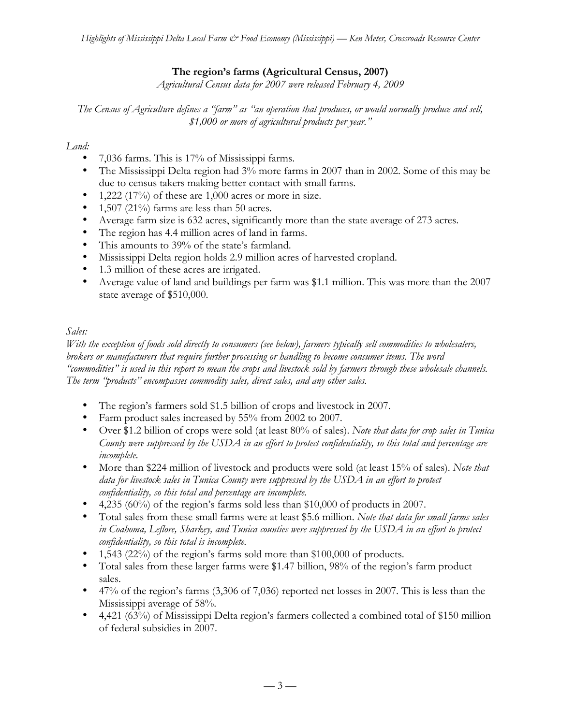# **The region's farms (Agricultural Census, 2007)**

*Agricultural Census data for 2007 were released February 4, 2009*

*The Census of Agriculture defines a "farm" as "an operation that produces, or would normally produce and sell, \$1,000 or more of agricultural products per year."*

# *Land:*

- 7,036 farms. This is 17% of Mississippi farms.
- The Mississippi Delta region had 3% more farms in 2007 than in 2002. Some of this may be due to census takers making better contact with small farms.
- 1,222 (17%) of these are 1,000 acres or more in size.
- 1,507 (21%) farms are less than 50 acres.
- Average farm size is 632 acres, significantly more than the state average of 273 acres.
- The region has 4.4 million acres of land in farms.
- This amounts to 39% of the state's farmland.
- Mississippi Delta region holds 2.9 million acres of harvested cropland.
- 1.3 million of these acres are irrigated.
- Average value of land and buildings per farm was \$1.1 million. This was more than the 2007 state average of \$510,000.

# *Sales:*

*With the exception of foods sold directly to consumers (see below), farmers typically sell commodities to wholesalers, brokers or manufacturers that require further processing or handling to become consumer items. The word "commodities" is used in this report to mean the crops and livestock sold by farmers through these wholesale channels. The term "products" encompasses commodity sales, direct sales, and any other sales.*

- The region's farmers sold \$1.5 billion of crops and livestock in 2007.
- Farm product sales increased by 55% from 2002 to 2007.
- Over \$1.2 billion of crops were sold (at least 80% of sales). *Note that data for crop sales in Tunica County were suppressed by the USDA in an effort to protect confidentiality, so this total and percentage are incomplete.*
- More than \$224 million of livestock and products were sold (at least 15% of sales). *Note that data for livestock sales in Tunica County were suppressed by the USDA in an effort to protect confidentiality, so this total and percentage are incomplete.*
- 4,235 (60%) of the region's farms sold less than \$10,000 of products in 2007.
- Total sales from these small farms were at least \$5.6 million. *Note that data for small farms sales in Coahoma, Leflore, Sharkey, and Tunica counties were suppressed by the USDA in an effort to protect confidentiality, so this total is incomplete.*
- 1,543 (22%) of the region's farms sold more than \$100,000 of products.
- Total sales from these larger farms were \$1.47 billion, 98% of the region's farm product sales.
- 47% of the region's farms (3,306 of 7,036) reported net losses in 2007. This is less than the Mississippi average of 58%.
- 4,421 (63%) of Mississippi Delta region's farmers collected a combined total of \$150 million of federal subsidies in 2007.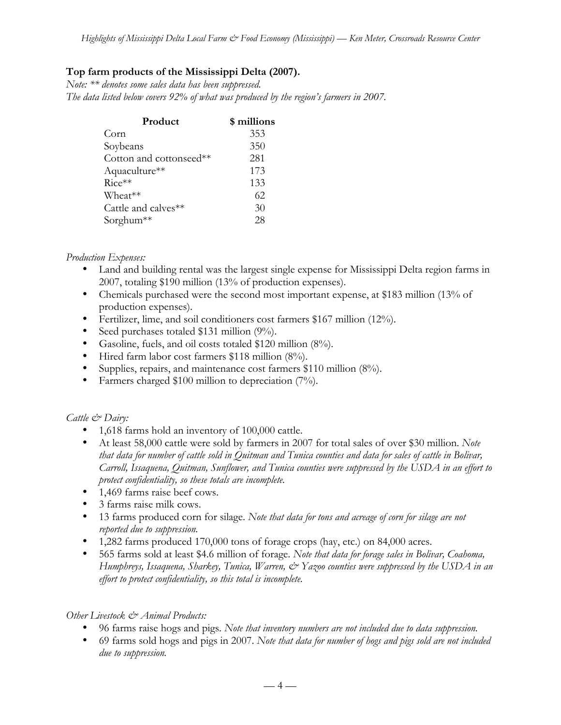# **Top farm products of the Mississippi Delta (2007).**

*Note: \*\* denotes some sales data has been suppressed. The data listed below covers 92% of what was produced by the region's farmers in 2007.*

| Product                 | \$ millions |
|-------------------------|-------------|
| Corn                    | 353         |
| Soybeans                | 350         |
| Cotton and cottonseed** | 281         |
| Aquaculture**           | 173         |
| $Rice**$                | 133         |
| Wheat**                 | 62          |
| Cattle and calves**     | 30          |
| Sorghum <sup>**</sup>   | 28          |

### *Production Expenses:*

- Land and building rental was the largest single expense for Mississippi Delta region farms in 2007, totaling \$190 million (13% of production expenses).
- Chemicals purchased were the second most important expense, at \$183 million (13% of production expenses).
- Fertilizer, lime, and soil conditioners cost farmers \$167 million (12%).
- Seed purchases totaled \$131 million (9%).
- Gasoline, fuels, and oil costs totaled \$120 million (8%).
- Hired farm labor cost farmers \$118 million (8%).
- Supplies, repairs, and maintenance cost farmers \$110 million (8%).
- Farmers charged \$100 million to depreciation (7%).

# *Cattle & Dairy:*

- 1,618 farms hold an inventory of 100,000 cattle.
- At least 58,000 cattle were sold by farmers in 2007 for total sales of over \$30 million. *Note that data for number of cattle sold in Quitman and Tunica counties and data for sales of cattle in Bolivar, Carroll, Issaquena, Quitman, Sunflower, and Tunica counties were suppressed by the USDA in an effort to protect confidentiality, so these totals are incomplete.*
- 1,469 farms raise beef cows.
- 3 farms raise milk cows.
- 13 farms produced corn for silage. *Note that data for tons and acreage of corn for silage are not reported due to suppression.*
- 1,282 farms produced 170,000 tons of forage crops (hay, etc.) on 84,000 acres.
- 565 farms sold at least \$4.6 million of forage. *Note that data for forage sales in Bolivar, Coahoma, Humphreys, Issaquena, Sharkey, Tunica, Warren, & Yazoo counties were suppressed by the USDA in an effort to protect confidentiality, so this total is incomplete.*

# *Other Livestock & Animal Products:*

- 96 farms raise hogs and pigs. *Note that inventory numbers are not included due to data suppression.*
- 69 farms sold hogs and pigs in 2007. *Note that data for number of hogs and pigs sold are not included due to suppression.*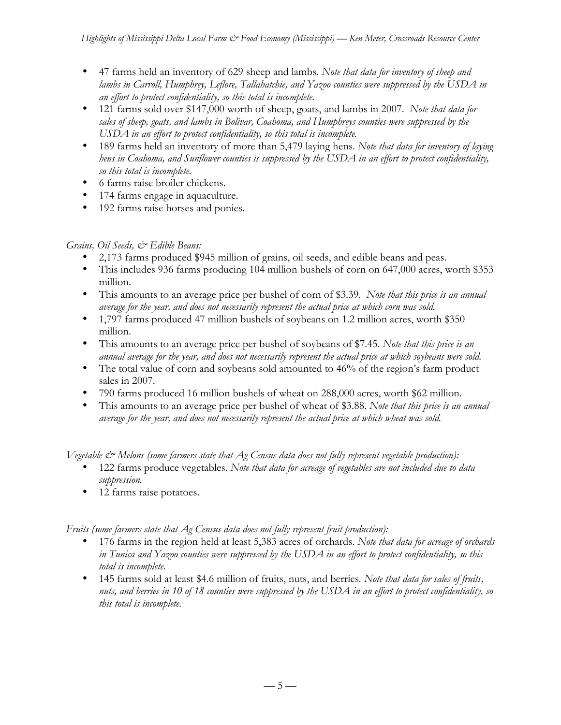- 47 farms held an inventory of 629 sheep and lambs*. Note that data for inventory of sheep and lambs in Carroll, Humphrey, Leflore, Tallahatchie, and Yazoo counties were suppressed by the USDA in an effort to protect confidentiality, so this total is incomplete.*
- 121 farms sold over \$147,000 worth of sheep, goats, and lambs in 2007. *Note that data for sales of sheep, goats, and lambs in Bolivar, Coahoma, and Humphreys counties were suppressed by the USDA in an effort to protect confidentiality, so this total is incomplete.*
- 189 farms held an inventory of more than 5,479 laying hens. *Note that data for inventory of laying hens in Coahoma, and Sunflower counties is suppressed by the USDA in an effort to protect confidentiality, so this total is incomplete.*
- 6 farms raise broiler chickens.
- 174 farms engage in aquaculture.
- 192 farms raise horses and ponies.

# *Grains, Oil Seeds, & Edible Beans:*

- 2,173 farms produced \$945 million of grains, oil seeds, and edible beans and peas.
- This includes 936 farms producing 104 million bushels of corn on 647,000 acres, worth \$353 million.
- This amounts to an average price per bushel of corn of \$3.39. *Note that this price is an annual average for the year, and does not necessarily represent the actual price at which corn was sold.*
- 1,797 farms produced 47 million bushels of soybeans on 1.2 million acres, worth \$350 million.
- This amounts to an average price per bushel of soybeans of \$7.45. *Note that this price is an annual average for the year, and does not necessarily represent the actual price at which soybeans were sold.*
- The total value of corn and soybeans sold amounted to 46% of the region's farm product sales in 2007.
- 790 farms produced 16 million bushels of wheat on 288,000 acres, worth \$62 million.
- This amounts to an average price per bushel of wheat of \$3.88. *Note that this price is an annual average for the year, and does not necessarily represent the actual price at which wheat was sold.*

*Vegetable & Melons (some farmers state that Ag Census data does not fully represent vegetable production):*

- 122 farms produce vegetables. *Note that data for acreage of vegetables are not included due to data suppression.*
- 12 farms raise potatoes.

*Fruits (some farmers state that Ag Census data does not fully represent fruit production):*

- 176 farms in the region held at least 5,383 acres of orchards. *Note that data for acreage of orchards in Tunica and Yazoo counties were suppressed by the USDA in an effort to protect confidentiality, so this total is incomplete.*
- 145 farms sold at least \$4.6 million of fruits, nuts, and berries*. Note that data for sales of fruits, nuts, and berries in 10 of 18 counties were suppressed by the USDA in an effort to protect confidentiality, so this total is incomplete.*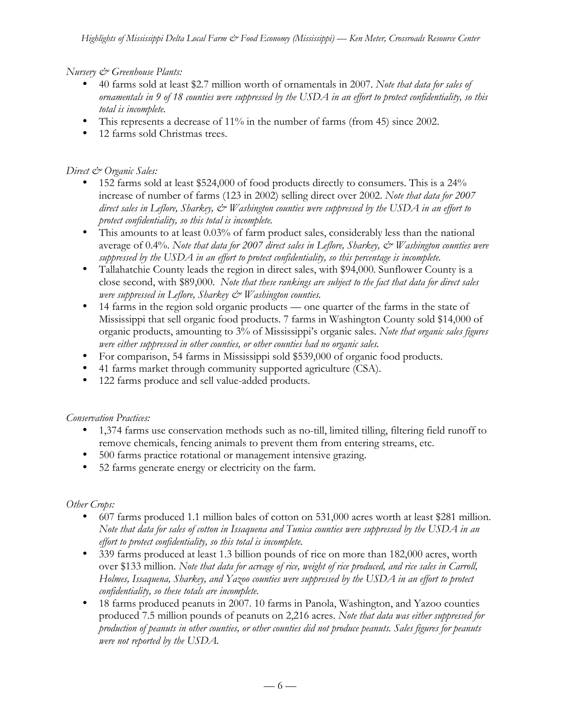*Nursery & Greenhouse Plants:*

- 40 farms sold at least \$2.7 million worth of ornamentals in 2007. *Note that data for sales of ornamentals in 9 of 18 counties were suppressed by the USDA in an effort to protect confidentiality, so this total is incomplete.*
- This represents a decrease of 11% in the number of farms (from 45) since 2002.
- 12 farms sold Christmas trees.

### *Direct & Organic Sales:*

- 152 farms sold at least \$524,000 of food products directly to consumers. This is a 24% increase of number of farms (123 in 2002) selling direct over 2002. *Note that data for 2007 direct sales in Leflore, Sharkey, & Washington counties were suppressed by the USDA in an effort to protect confidentiality, so this total is incomplete.*
- This amounts to at least 0.03% of farm product sales, considerably less than the national average of 0.4%. *Note that data for 2007 direct sales in Leflore, Sharkey, & Washington counties were suppressed by the USDA in an effort to protect confidentiality, so this percentage is incomplete.*
- Tallahatchie County leads the region in direct sales, with \$94,000. Sunflower County is a close second, with \$89,000. *Note that these rankings are subject to the fact that data for direct sales were suppressed in Leflore, Sharkey & Washington counties.*
- 14 farms in the region sold organic products one quarter of the farms in the state of Mississippi that sell organic food products. 7 farms in Washington County sold \$14,000 of organic products, amounting to 3% of Mississippi's organic sales. *Note that organic sales figures were either suppressed in other counties, or other counties had no organic sales.*
- For comparison, 54 farms in Mississippi sold \$539,000 of organic food products.
- 41 farms market through community supported agriculture (CSA).
- 122 farms produce and sell value-added products.

#### *Conservation Practices:*

- 1,374 farms use conservation methods such as no-till, limited tilling, filtering field runoff to remove chemicals, fencing animals to prevent them from entering streams, etc.
- 500 farms practice rotational or management intensive grazing.
- 52 farms generate energy or electricity on the farm.

#### *Other Crops:*

- 607 farms produced 1.1 million bales of cotton on 531,000 acres worth at least \$281 million. *Note that data for sales of cotton in Issaquena and Tunica counties were suppressed by the USDA in an effort to protect confidentiality, so this total is incomplete.*
- 339 farms produced at least 1.3 billion pounds of rice on more than 182,000 acres, worth over \$133 million. *Note that data for acreage of rice, weight of rice produced, and rice sales in Carroll, Holmes, Issaquena, Sharkey, and Yazoo counties were suppressed by the USDA in an effort to protect confidentiality, so these totals are incomplete.*
- 18 farms produced peanuts in 2007. 10 farms in Panola, Washington, and Yazoo counties produced 7.5 million pounds of peanuts on 2,216 acres. *Note that data was either suppressed for production of peanuts in other counties, or other counties did not produce peanuts. Sales figures for peanuts were not reported by the USDA.*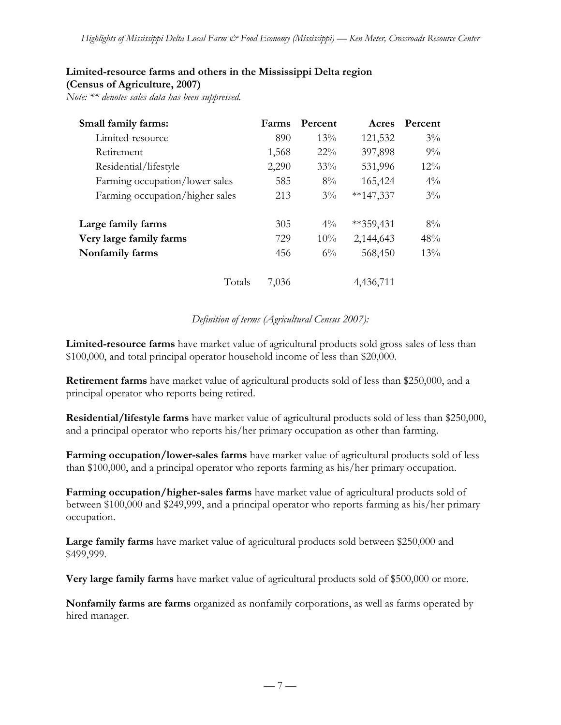# **Limited-resource farms and others in the Mississippi Delta region**

**(Census of Agriculture, 2007)**

*Note: \*\* denotes sales data has been suppressed.*

| Small family farms:             | Farms | Percent | Acres       | Percent |
|---------------------------------|-------|---------|-------------|---------|
| Limited-resource                | 890   | $13\%$  | 121,532     | $3\%$   |
| Retirement                      | 1,568 | $22\%$  | 397,898     | $9\%$   |
| Residential/lifestyle           | 2,290 | $33\%$  | 531,996     | $12\%$  |
| Farming occupation/lower sales  | 585   | $8\%$   | 165,424     | $4\%$   |
| Farming occupation/higher sales | 213   | $3\%$   | $**147,337$ | $3\%$   |
| Large family farms              | 305   | $4\%$   | $**359,431$ | $8\%$   |
| Very large family farms         | 729   | $10\%$  | 2,144,643   | 48%     |
| Nonfamily farms                 | 456   | $6\%$   | 568,450     | $13\%$  |
| Totals                          | 7.036 |         | 4,436,711   |         |

### *Definition of terms (Agricultural Census 2007):*

**Limited-resource farms** have market value of agricultural products sold gross sales of less than \$100,000, and total principal operator household income of less than \$20,000.

**Retirement farms** have market value of agricultural products sold of less than \$250,000, and a principal operator who reports being retired.

**Residential/lifestyle farms** have market value of agricultural products sold of less than \$250,000, and a principal operator who reports his/her primary occupation as other than farming.

**Farming occupation/lower-sales farms** have market value of agricultural products sold of less than \$100,000, and a principal operator who reports farming as his/her primary occupation.

**Farming occupation/higher-sales farms** have market value of agricultural products sold of between \$100,000 and \$249,999, and a principal operator who reports farming as his/her primary occupation.

**Large family farms** have market value of agricultural products sold between \$250,000 and \$499,999.

**Very large family farms** have market value of agricultural products sold of \$500,000 or more.

**Nonfamily farms are farms** organized as nonfamily corporations, as well as farms operated by hired manager.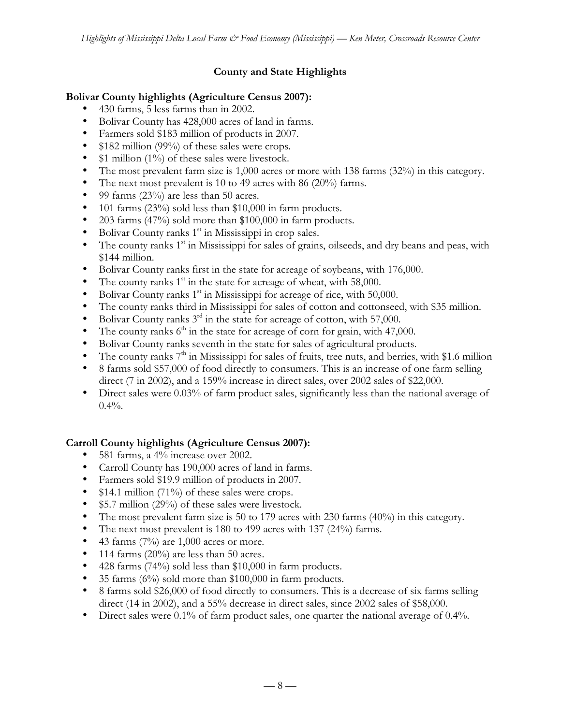# **County and State Highlights**

#### **Bolivar County highlights (Agriculture Census 2007):**

- 430 farms, 5 less farms than in 2002.
- Bolivar County has 428,000 acres of land in farms.
- Farmers sold \$183 million of products in 2007.
- \$182 million (99%) of these sales were crops.
- \$1 million (1%) of these sales were livestock.
- The most prevalent farm size is 1,000 acres or more with 138 farms (32%) in this category.
- The next most prevalent is 10 to 49 acres with 86 (20%) farms.
- 99 farms  $(23\%)$  are less than 50 acres.
- 101 farms (23%) sold less than \$10,000 in farm products.
- 203 farms (47%) sold more than \$100,000 in farm products.
- Bolivar County ranks  $1<sup>st</sup>$  in Mississippi in crop sales.
- The county ranks  $1<sup>st</sup>$  in Mississippi for sales of grains, oilseeds, and dry beans and peas, with \$144 million.
- Bolivar County ranks first in the state for acreage of soybeans, with 176,000.
- The county ranks  $1<sup>st</sup>$  in the state for acreage of wheat, with 58,000.
- Bolivar County ranks  $1<sup>st</sup>$  in Mississippi for acreage of rice, with 50,000.
- The county ranks third in Mississippi for sales of cotton and cottonseed, with \$35 million.
- Bolivar County ranks  $3<sup>rd</sup>$  in the state for acreage of cotton, with 57,000.
- The county ranks  $6<sup>th</sup>$  in the state for acreage of corn for grain, with 47,000.
- Bolivar County ranks seventh in the state for sales of agricultural products.
- The county ranks  $7<sup>th</sup>$  in Mississippi for sales of fruits, tree nuts, and berries, with \$1.6 million
- 8 farms sold \$57,000 of food directly to consumers. This is an increase of one farm selling direct (7 in 2002), and a 159% increase in direct sales, over 2002 sales of \$22,000.
- Direct sales were 0.03% of farm product sales, significantly less than the national average of  $0.4\%$ .

# **Carroll County highlights (Agriculture Census 2007):**

- 581 farms, a 4% increase over 2002.
- Carroll County has 190,000 acres of land in farms.
- Farmers sold \$19.9 million of products in 2007.
- \$14.1 million (71%) of these sales were crops.
- \$5.7 million (29%) of these sales were livestock.
- The most prevalent farm size is 50 to 179 acres with 230 farms (40%) in this category.
- The next most prevalent is 180 to 499 acres with 137 (24%) farms.
- 43 farms  $(7%)$  are 1,000 acres or more.
- 114 farms  $(20\%)$  are less than 50 acres.
- 428 farms (74%) sold less than \$10,000 in farm products.
- 35 farms (6%) sold more than \$100,000 in farm products.
- 8 farms sold \$26,000 of food directly to consumers. This is a decrease of six farms selling direct (14 in 2002), and a 55% decrease in direct sales, since 2002 sales of \$58,000.
- Direct sales were 0.1% of farm product sales, one quarter the national average of 0.4%.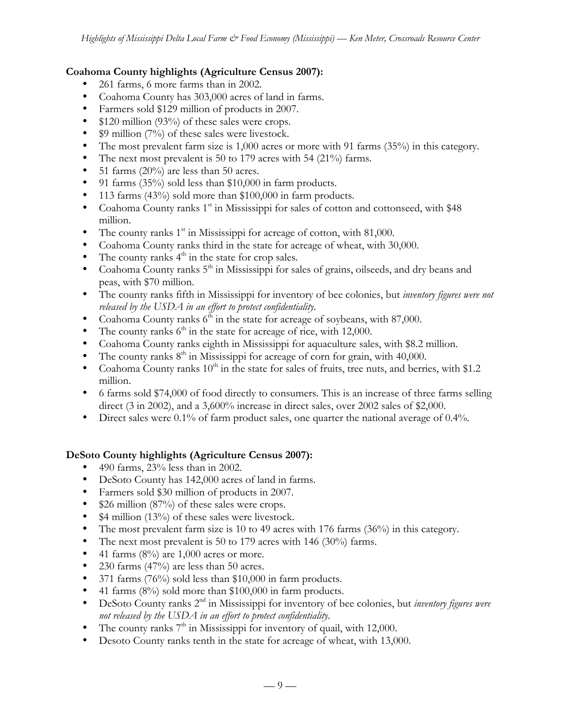#### **Coahoma County highlights (Agriculture Census 2007):**

- 261 farms, 6 more farms than in 2002.
- Coahoma County has 303,000 acres of land in farms.
- Farmers sold \$129 million of products in 2007.
- \$120 million (93%) of these sales were crops.
- \$9 million (7%) of these sales were livestock.
- The most prevalent farm size is 1,000 acres or more with 91 farms (35%) in this category.
- The next most prevalent is 50 to 179 acres with 54 (21%) farms.
- 51 farms (20%) are less than 50 acres.
- 91 farms (35%) sold less than \$10,000 in farm products.
- 113 farms (43%) sold more than \$100,000 in farm products.
- Coahoma County ranks  $1<sup>st</sup>$  in Mississippi for sales of cotton and cottonseed, with \$48 million.
- The county ranks  $1<sup>st</sup>$  in Mississippi for acreage of cotton, with 81,000.
- Coahoma County ranks third in the state for acreage of wheat, with 30,000.
- The county ranks  $4<sup>th</sup>$  in the state for crop sales.
- Coahoma County ranks  $5<sup>th</sup>$  in Mississippi for sales of grains, oilseeds, and dry beans and peas, with \$70 million.
- The county ranks fifth in Mississippi for inventory of bee colonies, but *inventory figures were not released by the USDA in an effort to protect confidentiality.*
- Coahoma County ranks  $6\text{th}$  in the state for acreage of soybeans, with 87,000.
- The county ranks  $6<sup>th</sup>$  in the state for acreage of rice, with 12,000.
- Coahoma County ranks eighth in Mississippi for aquaculture sales, with \$8.2 million.
- The county ranks  $8<sup>th</sup>$  in Mississippi for acreage of corn for grain, with 40,000.
- Coahoma County ranks  $10<sup>th</sup>$  in the state for sales of fruits, tree nuts, and berries, with \$1.2 million.
- 6 farms sold \$74,000 of food directly to consumers. This is an increase of three farms selling direct (3 in 2002), and a 3,600% increase in direct sales, over 2002 sales of \$2,000.
- Direct sales were 0.1% of farm product sales, one quarter the national average of 0.4%.

#### **DeSoto County highlights (Agriculture Census 2007):**

- 490 farms, 23% less than in 2002.
- DeSoto County has 142,000 acres of land in farms.
- Farmers sold \$30 million of products in 2007.
- \$26 million (87%) of these sales were crops.
- \$4 million (13%) of these sales were livestock.
- The most prevalent farm size is 10 to 49 acres with 176 farms (36%) in this category.
- The next most prevalent is 50 to 179 acres with 146 (30%) farms.
- 41 farms  $(8\%)$  are 1,000 acres or more.
- 230 farms (47%) are less than 50 acres.
- 371 farms (76%) sold less than \$10,000 in farm products.
- 41 farms (8%) sold more than \$100,000 in farm products.
- DeSoto County ranks 2nd in Mississippi for inventory of bee colonies, but *inventory figures were not released by the USDA in an effort to protect confidentiality.*
- The county ranks  $7<sup>th</sup>$  in Mississippi for inventory of quail, with 12,000.
- Desoto County ranks tenth in the state for acreage of wheat, with 13,000.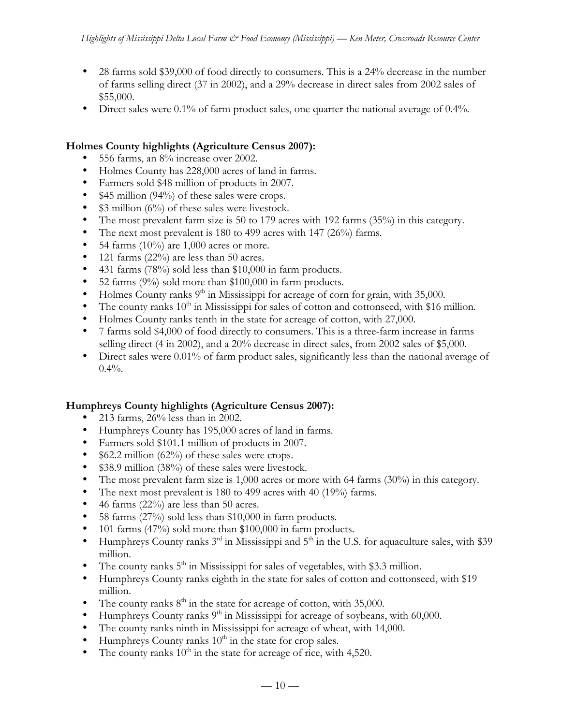- 28 farms sold \$39,000 of food directly to consumers. This is a 24% decrease in the number of farms selling direct (37 in 2002), and a 29% decrease in direct sales from 2002 sales of \$55,000.
- Direct sales were 0.1% of farm product sales, one quarter the national average of 0.4%.

### **Holmes County highlights (Agriculture Census 2007):**

- 556 farms, an 8% increase over 2002.
- Holmes County has 228,000 acres of land in farms.
- Farmers sold \$48 million of products in 2007.
- \$45 million (94%) of these sales were crops.
- \$3 million (6%) of these sales were livestock.
- The most prevalent farm size is 50 to 179 acres with 192 farms (35%) in this category.
- The next most prevalent is 180 to 499 acres with 147 (26%) farms.
- 54 farms  $(10\%)$  are 1,000 acres or more.
- 121 farms  $(22\%)$  are less than 50 acres.
- 431 farms (78%) sold less than \$10,000 in farm products.
- 52 farms (9%) sold more than \$100,000 in farm products.
- Holmes County ranks  $9<sup>th</sup>$  in Mississippi for acreage of corn for grain, with 35,000.
- The county ranks  $10<sup>th</sup>$  in Mississippi for sales of cotton and cottonseed, with \$16 million.
- Holmes County ranks tenth in the state for acreage of cotton, with 27,000.
- 7 farms sold \$4,000 of food directly to consumers. This is a three-farm increase in farms selling direct (4 in 2002), and a 20% decrease in direct sales, from 2002 sales of \$5,000.
- Direct sales were 0.01% of farm product sales, significantly less than the national average of  $0.4\%$ .

#### **Humphreys County highlights (Agriculture Census 2007):**

- 213 farms, 26% less than in 2002.
- Humphreys County has 195,000 acres of land in farms.
- Farmers sold \$101.1 million of products in 2007.
- \$62.2 million (62%) of these sales were crops.
- \$38.9 million (38%) of these sales were livestock.
- The most prevalent farm size is 1,000 acres or more with 64 farms (30%) in this category.
- The next most prevalent is 180 to 499 acres with 40 (19%) farms.
- 46 farms  $(22\%)$  are less than 50 acres.
- 58 farms (27%) sold less than \$10,000 in farm products.
- 101 farms (47%) sold more than \$100,000 in farm products.
- Humphreys County ranks  $3^{rd}$  in Mississippi and  $5^{th}$  in the U.S. for aquaculture sales, with \$39 million.
- The county ranks  $5<sup>th</sup>$  in Mississippi for sales of vegetables, with \$3.3 million.
- Humphreys County ranks eighth in the state for sales of cotton and cottonseed, with \$19 million.
- The county ranks  $8<sup>th</sup>$  in the state for acreage of cotton, with 35,000.
- Humphreys County ranks  $9<sup>th</sup>$  in Mississippi for acreage of soybeans, with 60,000.
- The county ranks ninth in Mississippi for acreage of wheat, with 14,000.
- Humphreys County ranks  $10<sup>th</sup>$  in the state for crop sales.
- The county ranks  $10<sup>th</sup>$  in the state for acreage of rice, with 4,520.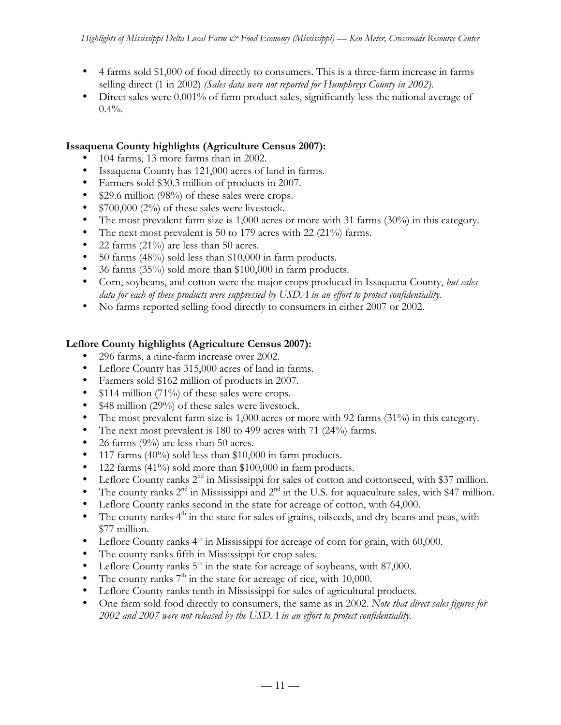- 4 farms sold \$1,000 of food directly to consumers. This is a three-farm increase in farms selling direct (1 in 2002) *(Sales data were not reported for Humphreys County in 2002).*
- Direct sales were 0.001% of farm product sales, significantly less the national average of  $0.4\%$ .

### **Issaquena County highlights (Agriculture Census 2007):**

- 104 farms, 13 more farms than in 2002.
- Issaquena County has 121,000 acres of land in farms.
- Farmers sold \$30.3 million of products in 2007.
- \$29.6 million (98%) of these sales were crops.
- \$700,000 (2%) of these sales were livestock.
- The most prevalent farm size is 1,000 acres or more with 31 farms (30%) in this category.
- The next most prevalent is 50 to 179 acres with 22 (21%) farms.
- 22 farms (21%) are less than 50 acres.
- 50 farms (48%) sold less than \$10,000 in farm products.
- 36 farms (35%) sold more than \$100,000 in farm products.
- Corn, soybeans, and cotton were the major crops produced in Issaquena County, *but sales data for each of these products were suppressed by USDA in an effort to protect confidentiality.*
- No farms reported selling food directly to consumers in either 2007 or 2002.

### **Leflore County highlights (Agriculture Census 2007):**

- 296 farms, a nine-farm increase over 2002.
- Leflore County has 315,000 acres of land in farms.
- Farmers sold \$162 million of products in 2007.
- \$114 million (71%) of these sales were crops.
- \$48 million (29%) of these sales were livestock.
- The most prevalent farm size is 1,000 acres or more with 92 farms (31%) in this category.
- The next most prevalent is 180 to 499 acres with 71 (24%) farms.
- 26 farms (9%) are less than 50 acres.
- 117 farms (40%) sold less than \$10,000 in farm products.
- 122 farms (41%) sold more than \$100,000 in farm products.
- Leflore County ranks 2<sup>nd</sup> in Mississippi for sales of cotton and cottonseed, with \$37 million.
- The county ranks  $2<sup>nd</sup>$  in Mississippi and  $2<sup>nd</sup>$  in the U.S. for aquaculture sales, with \$47 million.
- Leflore County ranks second in the state for acreage of cotton, with 64,000.
- The county ranks  $4<sup>th</sup>$  in the state for sales of grains, oilseeds, and dry beans and peas, with \$77 million.
- Leflore County ranks  $4<sup>th</sup>$  in Mississippi for acreage of corn for grain, with 60,000.
- The county ranks fifth in Mississippi for crop sales.
- Leflore County ranks  $5<sup>th</sup>$  in the state for acreage of soybeans, with 87,000.
- The county ranks  $7<sup>th</sup>$  in the state for acreage of rice, with 10,000.
- Leflore County ranks tenth in Mississippi for sales of agricultural products.
- One farm sold food directly to consumers, the same as in 2002. *Note that direct sales figures for 2002 and 2007 were not released by the USDA in an effort to protect confidentiality.*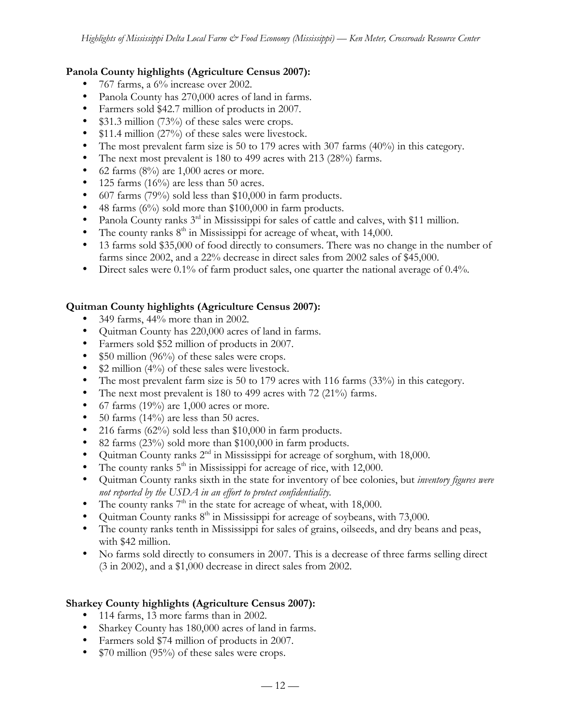### **Panola County highlights (Agriculture Census 2007):**

- 767 farms, a 6% increase over 2002.
- Panola County has 270,000 acres of land in farms.
- Farmers sold \$42.7 million of products in 2007.
- \$31.3 million (73%) of these sales were crops.
- \$11.4 million (27%) of these sales were livestock.
- The most prevalent farm size is 50 to 179 acres with 307 farms (40%) in this category.
- The next most prevalent is 180 to 499 acres with 213 (28%) farms.
- 62 farms  $(8\%)$  are 1,000 acres or more.
- 125 farms  $(16\%)$  are less than 50 acres.
- 607 farms (79%) sold less than \$10,000 in farm products.
- 48 farms (6%) sold more than \$100,000 in farm products.
- Panola County ranks 3<sup>rd</sup> in Mississippi for sales of cattle and calves, with \$11 million.
- The county ranks  $8<sup>th</sup>$  in Mississippi for acreage of wheat, with 14,000.
- 13 farms sold \$35,000 of food directly to consumers. There was no change in the number of farms since 2002, and a 22% decrease in direct sales from 2002 sales of \$45,000.
- Direct sales were 0.1% of farm product sales, one quarter the national average of 0.4%.

# **Quitman County highlights (Agriculture Census 2007):**

- 349 farms, 44% more than in 2002.
- Quitman County has 220,000 acres of land in farms.
- Farmers sold \$52 million of products in 2007.
- \$50 million (96%) of these sales were crops.
- \$2 million (4%) of these sales were livestock.
- The most prevalent farm size is 50 to 179 acres with 116 farms (33%) in this category.
- The next most prevalent is 180 to 499 acres with 72 (21%) farms.
- 67 farms (19%) are 1,000 acres or more.
- 50 farms  $(14\%)$  are less than 50 acres.
- 216 farms  $(62%)$  sold less than \$10,000 in farm products.
- 82 farms (23%) sold more than \$100,000 in farm products.
- Quitman County ranks  $2<sup>nd</sup>$  in Mississippi for acreage of sorghum, with 18,000.
- The county ranks  $5<sup>th</sup>$  in Mississippi for acreage of rice, with 12,000.
- Quitman County ranks sixth in the state for inventory of bee colonies, but *inventory figures were not reported by the USDA in an effort to protect confidentiality.*
- The county ranks  $7<sup>th</sup>$  in the state for acreage of wheat, with 18,000.
- Quitman County ranks  $8<sup>th</sup>$  in Mississippi for acreage of soybeans, with 73,000.
- The county ranks tenth in Mississippi for sales of grains, oilseeds, and dry beans and peas, with \$42 million.
- No farms sold directly to consumers in 2007. This is a decrease of three farms selling direct (3 in 2002), and a \$1,000 decrease in direct sales from 2002.

# **Sharkey County highlights (Agriculture Census 2007):**

- 114 farms, 13 more farms than in 2002.
- Sharkey County has 180,000 acres of land in farms.
- Farmers sold \$74 million of products in 2007.
- \$70 million (95%) of these sales were crops.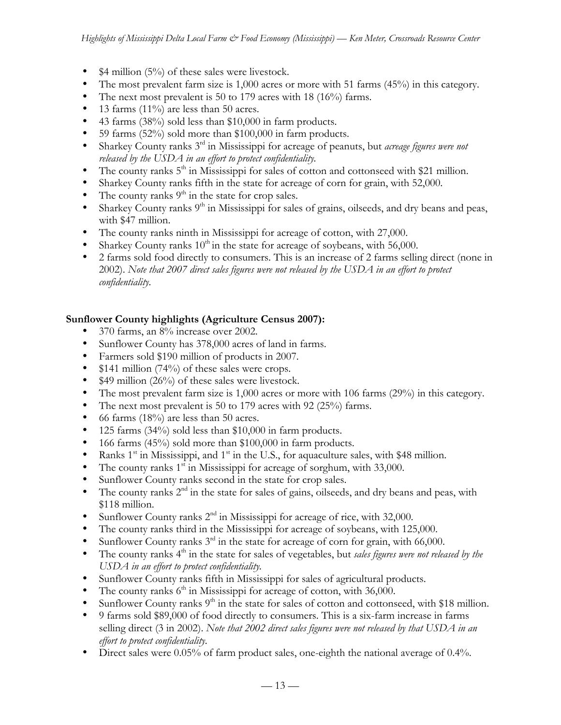- $$4$  million (5%) of these sales were livestock.
- The most prevalent farm size is 1,000 acres or more with 51 farms (45%) in this category.
- The next most prevalent is 50 to 179 acres with 18 (16%) farms.
- 13 farms  $(11\%)$  are less than 50 acres.
- 43 farms (38%) sold less than \$10,000 in farm products.
- 59 farms (52%) sold more than \$100,000 in farm products.
- Sharkey County ranks 3<sup>rd</sup> in Mississippi for acreage of peanuts, but *acreage figures were not released by the USDA in an effort to protect confidentiality.*
- The county ranks  $5<sup>th</sup>$  in Mississippi for sales of cotton and cottonseed with \$21 million.
- Sharkey County ranks fifth in the state for acreage of corn for grain, with 52,000.
- The county ranks  $9<sup>th</sup>$  in the state for crop sales.
- Sharkey County ranks  $9<sup>th</sup>$  in Mississippi for sales of grains, oilseeds, and dry beans and peas, with \$47 million.
- The county ranks ninth in Mississippi for acreage of cotton, with 27,000.
- Sharkey County ranks  $10^{th}$  in the state for acreage of soybeans, with 56,000.
- 2 farms sold food directly to consumers. This is an increase of 2 farms selling direct (none in 2002). *Note that 2007 direct sales figures were not released by the USDA in an effort to protect confidentiality.*

### **Sunflower County highlights (Agriculture Census 2007):**

- 370 farms, an 8% increase over 2002.
- Sunflower County has 378,000 acres of land in farms.
- Farmers sold \$190 million of products in 2007.
- \$141 million (74%) of these sales were crops.
- \$49 million (26%) of these sales were livestock.
- The most prevalent farm size is 1,000 acres or more with 106 farms (29%) in this category.
- The next most prevalent is 50 to 179 acres with 92 (25%) farms.
- 66 farms  $(18\%)$  are less than 50 acres.
- 125 farms (34%) sold less than \$10,000 in farm products.
- 166 farms (45%) sold more than \$100,000 in farm products.
- Ranks  $1<sup>st</sup>$  in Mississippi, and  $1<sup>st</sup>$  in the U.S., for aquaculture sales, with \$48 million.
- The county ranks  $1<sup>st</sup>$  in Mississippi for acreage of sorghum, with 33,000.
- Sunflower County ranks second in the state for crop sales.
- The county ranks  $2<sup>nd</sup>$  in the state for sales of gains, oilseeds, and dry beans and peas, with \$118 million.
- Sunflower County ranks  $2<sup>nd</sup>$  in Mississippi for acreage of rice, with 32,000.
- The county ranks third in the Mississippi for acreage of soybeans, with 125,000.
- Sunflower County ranks 3<sup>rd</sup> in the state for acreage of corn for grain, with 66,000.
- The county ranks 4<sup>th</sup> in the state for sales of vegetables, but *sales figures were not released by the USDA in an effort to protect confidentiality.*
- Sunflower County ranks fifth in Mississippi for sales of agricultural products.
- The county ranks  $6<sup>th</sup>$  in Mississippi for acreage of cotton, with 36,000.
- Sunflower County ranks  $9<sup>th</sup>$  in the state for sales of cotton and cottonseed, with \$18 million.
- 9 farms sold \$89,000 of food directly to consumers. This is a six-farm increase in farms selling direct (3 in 2002). *Note that 2002 direct sales figures were not released by that USDA in an effort to protect confidentiality.*
- Direct sales were 0.05% of farm product sales, one-eighth the national average of 0.4%.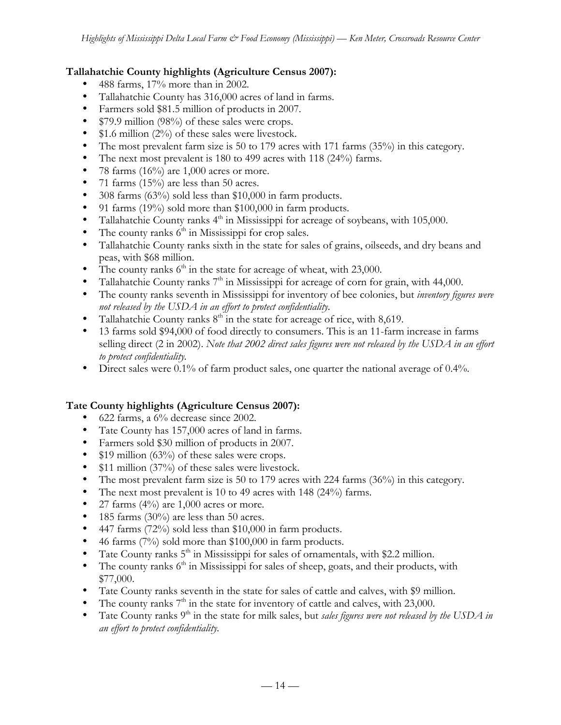### **Tallahatchie County highlights (Agriculture Census 2007):**

- 488 farms, 17% more than in 2002.
- Tallahatchie County has 316,000 acres of land in farms.
- Farmers sold \$81.5 million of products in 2007.
- \$79.9 million (98%) of these sales were crops.
- \$1.6 million (2%) of these sales were livestock.
- The most prevalent farm size is 50 to 179 acres with 171 farms (35%) in this category.
- The next most prevalent is 180 to 499 acres with 118 (24%) farms.
- 78 farms  $(16%)$  are 1,000 acres or more.
- 71 farms  $(15%)$  are less than 50 acres.
- 308 farms (63%) sold less than \$10,000 in farm products.
- 91 farms (19%) sold more than \$100,000 in farm products.
- Tallahatchie County ranks  $4<sup>th</sup>$  in Mississippi for acreage of soybeans, with 105,000.
- The county ranks  $6<sup>th</sup>$  in Mississippi for crop sales.
- Tallahatchie County ranks sixth in the state for sales of grains, oilseeds, and dry beans and peas, with \$68 million.
- The county ranks  $6<sup>th</sup>$  in the state for acreage of wheat, with 23,000.
- Tallahatchie County ranks  $7<sup>th</sup>$  in Mississippi for acreage of corn for grain, with 44,000.
- The county ranks seventh in Mississippi for inventory of bee colonies, but *inventory figures were not released by the USDA in an effort to protect confidentiality.*
- Tallahatchie County ranks  $8<sup>th</sup>$  in the state for acreage of rice, with 8,619.
- 13 farms sold \$94,000 of food directly to consumers. This is an 11-farm increase in farms selling direct (2 in 2002). *Note that 2002 direct sales figures were not released by the USDA in an effort to protect confidentiality.*
- Direct sales were 0.1% of farm product sales, one quarter the national average of 0.4%.

# **Tate County highlights (Agriculture Census 2007):**

- 622 farms, a 6% decrease since 2002.
- Tate County has 157,000 acres of land in farms.
- Farmers sold \$30 million of products in 2007.
- \$19 million (63%) of these sales were crops.
- \$11 million (37%) of these sales were livestock.
- The most prevalent farm size is 50 to 179 acres with 224 farms (36%) in this category.
- The next most prevalent is 10 to 49 acres with 148 (24%) farms.
- 27 farms  $(4\%)$  are 1,000 acres or more.
- 185 farms  $(30\%)$  are less than 50 acres.
- 447 farms (72%) sold less than \$10,000 in farm products.
- 46 farms (7%) sold more than \$100,000 in farm products.
- Tate County ranks  $5<sup>th</sup>$  in Mississippi for sales of ornamentals, with \$2.2 million.
- The county ranks  $6<sup>th</sup>$  in Mississippi for sales of sheep, goats, and their products, with \$77,000.
- Tate County ranks seventh in the state for sales of cattle and calves, with \$9 million.
- The county ranks  $7<sup>th</sup>$  in the state for inventory of cattle and calves, with 23,000.
- Tate County ranks 9<sup>th</sup> in the state for milk sales, but *sales figures were not released by the USDA in an effort to protect confidentiality.*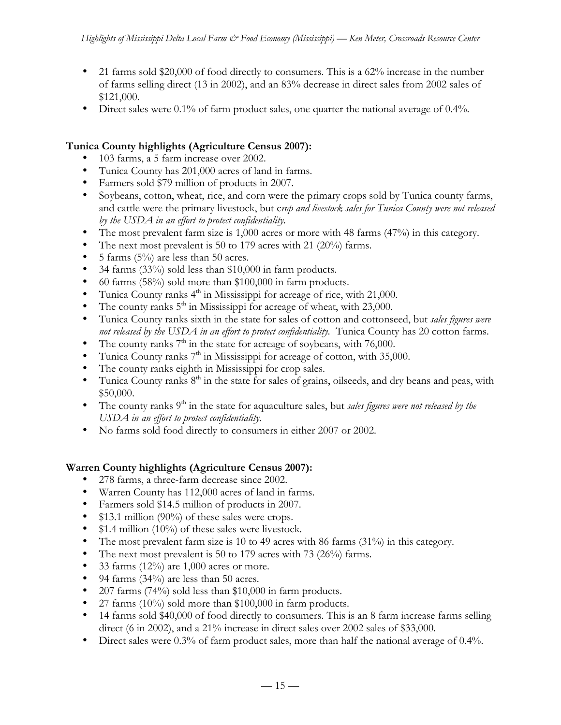- 21 farms sold \$20,000 of food directly to consumers. This is a  $62\%$  increase in the number of farms selling direct (13 in 2002), and an 83% decrease in direct sales from 2002 sales of \$121,000.
- Direct sales were 0.1% of farm product sales, one quarter the national average of 0.4%.

# **Tunica County highlights (Agriculture Census 2007):**

- 103 farms, a 5 farm increase over 2002.
- Tunica County has 201,000 acres of land in farms.
- Farmers sold \$79 million of products in 2007.
- Soybeans, cotton, wheat, rice, and corn were the primary crops sold by Tunica county farms, and cattle were the primary livestock, but c*rop and livestock sales for Tunica County were not released by the USDA in an effort to protect confidentiality.*
- The most prevalent farm size is 1,000 acres or more with 48 farms (47%) in this category.
- The next most prevalent is 50 to 179 acres with 21 (20%) farms.
- 5 farms  $(5\%)$  are less than 50 acres.
- 34 farms (33%) sold less than \$10,000 in farm products.
- 60 farms (58%) sold more than \$100,000 in farm products.
- Tunica County ranks  $4<sup>th</sup>$  in Mississippi for acreage of rice, with 21,000.
- The county ranks  $5<sup>th</sup>$  in Mississippi for acreage of wheat, with 23,000.
- Tunica County ranks sixth in the state for sales of cotton and cottonseed, but *sales figures were not released by the USDA in an effort to protect confidentiality.* Tunica County has 20 cotton farms.
- The county ranks  $7<sup>th</sup>$  in the state for acreage of soybeans, with 76,000.
- Tunica County ranks  $7<sup>th</sup>$  in Mississippi for acreage of cotton, with 35,000.
- The county ranks eighth in Mississippi for crop sales.
- Tunica County ranks  $8<sup>th</sup>$  in the state for sales of grains, oilseeds, and dry beans and peas, with \$50,000.
- The county ranks 9<sup>th</sup> in the state for aquaculture sales, but *sales figures were not released by the USDA in an effort to protect confidentiality.*
- No farms sold food directly to consumers in either 2007 or 2002.

# **Warren County highlights (Agriculture Census 2007):**

- 278 farms, a three-farm decrease since 2002.
- Warren County has 112,000 acres of land in farms.
- Farmers sold \$14.5 million of products in 2007.
- \$13.1 million (90%) of these sales were crops.
- \$1.4 million (10%) of these sales were livestock.
- The most prevalent farm size is 10 to 49 acres with 86 farms (31%) in this category.
- The next most prevalent is 50 to 179 acres with 73 (26%) farms.
- 33 farms  $(12\%)$  are 1,000 acres or more.
- 94 farms (34%) are less than 50 acres.
- 207 farms (74%) sold less than \$10,000 in farm products.
- 27 farms (10%) sold more than  $$100,000$  in farm products.
- 14 farms sold \$40,000 of food directly to consumers. This is an 8 farm increase farms selling direct (6 in 2002), and a 21% increase in direct sales over 2002 sales of \$33,000.
- Direct sales were 0.3% of farm product sales, more than half the national average of 0.4%.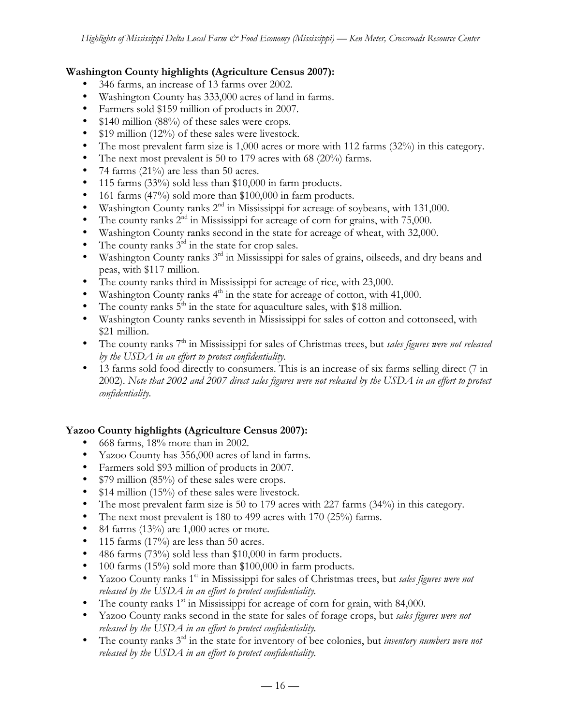### **Washington County highlights (Agriculture Census 2007):**

- 346 farms, an increase of 13 farms over 2002.
- Washington County has 333,000 acres of land in farms.
- Farmers sold \$159 million of products in 2007.
- \$140 million (88%) of these sales were crops.
- \$19 million (12%) of these sales were livestock.
- The most prevalent farm size is 1,000 acres or more with 112 farms (32%) in this category.
- The next most prevalent is 50 to 179 acres with 68 (20%) farms.
- 74 farms (21%) are less than 50 acres.
- 115 farms (33%) sold less than \$10,000 in farm products.
- 161 farms (47%) sold more than \$100,000 in farm products.
- Washington County ranks 2nd in Mississippi for acreage of soybeans, with 131,000.
- The county ranks  $2^{nd}$  in Mississippi for acreage of corn for grains, with 75,000.
- Washington County ranks second in the state for acreage of wheat, with 32,000.
- The county ranks  $3<sup>rd</sup>$  in the state for crop sales.
- Washington County ranks 3<sup>rd</sup> in Mississippi for sales of grains, oilseeds, and dry beans and peas, with \$117 million.
- The county ranks third in Mississippi for acreage of rice, with 23,000.
- Washington County ranks  $4<sup>th</sup>$  in the state for acreage of cotton, with 41,000.
- The county ranks  $5<sup>th</sup>$  in the state for aquaculture sales, with \$18 million.
- Washington County ranks seventh in Mississippi for sales of cotton and cottonseed, with \$21 million.
- The county ranks 7<sup>th</sup> in Mississippi for sales of Christmas trees, but *sales figures were not released by the USDA in an effort to protect confidentiality.*
- 13 farms sold food directly to consumers. This is an increase of six farms selling direct (7 in 2002). *Note that 2002 and 2007 direct sales figures were not released by the USDA in an effort to protect confidentiality.*

# **Yazoo County highlights (Agriculture Census 2007):**

- 668 farms, 18% more than in 2002.
- Yazoo County has 356,000 acres of land in farms.
- Farmers sold \$93 million of products in 2007.
- \$79 million (85%) of these sales were crops.
- \$14 million (15%) of these sales were livestock.
- The most prevalent farm size is 50 to 179 acres with 227 farms (34%) in this category.
- The next most prevalent is 180 to 499 acres with 170 (25%) farms.
- 84 farms  $(13\%)$  are 1,000 acres or more.
- 115 farms  $(17%)$  are less than 50 acres.
- 486 farms (73%) sold less than \$10,000 in farm products.
- 100 farms (15%) sold more than \$100,000 in farm products.
- Yazoo County ranks 1<sup>st</sup> in Mississippi for sales of Christmas trees, but *sales figures were not released by the USDA in an effort to protect confidentiality.*
- The county ranks  $1<sup>st</sup>$  in Mississippi for acreage of corn for grain, with 84,000.
- Yazoo County ranks second in the state for sales of forage crops, but *sales figures were not released by the USDA in an effort to protect confidentiality.*
- The county ranks 3rd in the state for inventory of bee colonies, but *inventory numbers were not released by the USDA in an effort to protect confidentiality.*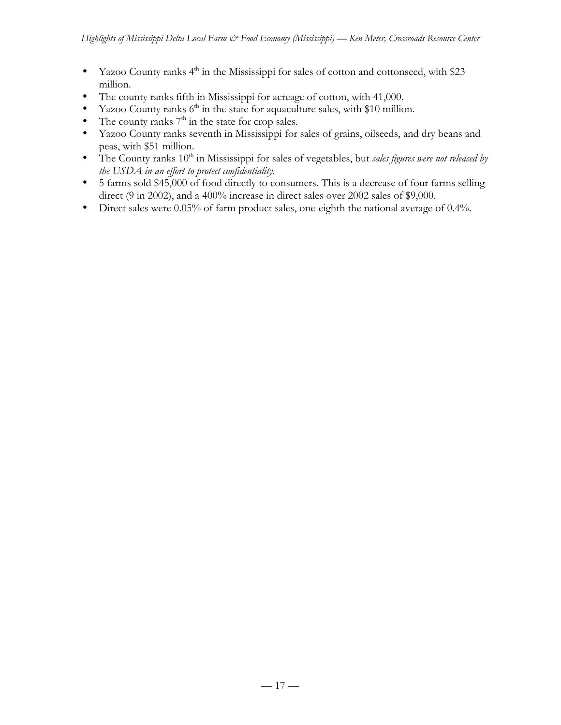- Yazoo County ranks  $4<sup>th</sup>$  in the Mississippi for sales of cotton and cottonseed, with \$23 million.
- The county ranks fifth in Mississippi for acreage of cotton, with 41,000.
- Yazoo County ranks  $6<sup>th</sup>$  in the state for aquaculture sales, with \$10 million.
- The county ranks  $7<sup>th</sup>$  in the state for crop sales.
- Yazoo County ranks seventh in Mississippi for sales of grains, oilseeds, and dry beans and peas, with \$51 million.
- The County ranks 10<sup>th</sup> in Mississippi for sales of vegetables, but *sales figures were not released by the USDA in an effort to protect confidentiality.*
- 5 farms sold \$45,000 of food directly to consumers. This is a decrease of four farms selling direct (9 in 2002), and a 400% increase in direct sales over 2002 sales of \$9,000.
- Direct sales were 0.05% of farm product sales, one-eighth the national average of 0.4%.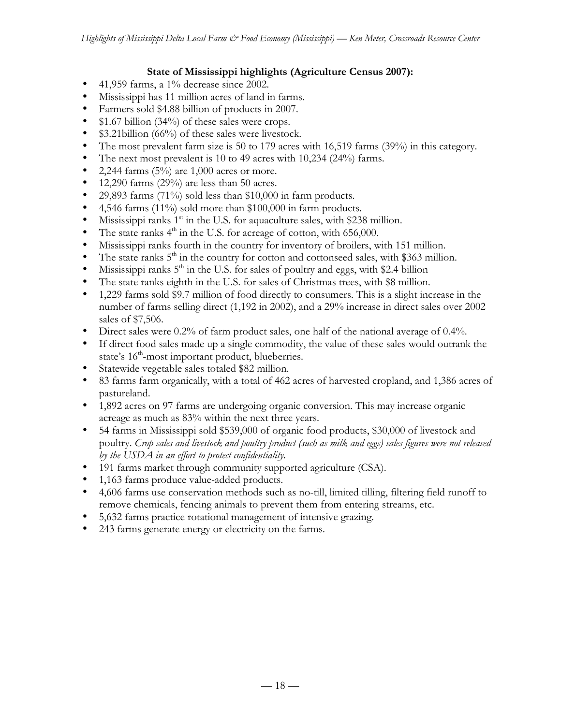### **State of Mississippi highlights (Agriculture Census 2007):**

- 41,959 farms, a 1% decrease since 2002.
- Mississippi has 11 million acres of land in farms.
- Farmers sold \$4.88 billion of products in 2007.
- \$1.67 billion (34%) of these sales were crops.
- \$3.21billion (66%) of these sales were livestock.
- The most prevalent farm size is 50 to 179 acres with 16,519 farms (39%) in this category.
- The next most prevalent is 10 to 49 acres with 10,234 (24%) farms.
- 2,244 farms  $(5\%)$  are 1,000 acres or more.
- 12,290 farms (29%) are less than 50 acres.
- 29,893 farms (71%) sold less than \$10,000 in farm products.
- 4,546 farms (11%) sold more than \$100,000 in farm products.
- Mississippi ranks  $1<sup>st</sup>$  in the U.S. for aquaculture sales, with \$238 million.
- The state ranks  $4<sup>th</sup>$  in the U.S. for acreage of cotton, with 656,000.
- Mississippi ranks fourth in the country for inventory of broilers, with 151 million.
- The state ranks  $5<sup>th</sup>$  in the country for cotton and cottonseed sales, with \$363 million.
- Mississippi ranks  $5<sup>th</sup>$  in the U.S. for sales of poultry and eggs, with \$2.4 billion
- The state ranks eighth in the U.S. for sales of Christmas trees, with \$8 million.
- 1,229 farms sold \$9.7 million of food directly to consumers. This is a slight increase in the number of farms selling direct (1,192 in 2002), and a 29% increase in direct sales over 2002 sales of \$7,506.
- Direct sales were 0.2% of farm product sales, one half of the national average of 0.4%.
- If direct food sales made up a single commodity, the value of these sales would outrank the state's  $16<sup>th</sup>$ -most important product, blueberries.
- Statewide vegetable sales totaled \$82 million.
- 83 farms farm organically, with a total of 462 acres of harvested cropland, and 1,386 acres of pastureland.
- 1,892 acres on 97 farms are undergoing organic conversion. This may increase organic acreage as much as 83% within the next three years.
- 54 farms in Mississippi sold \$539,000 of organic food products, \$30,000 of livestock and poultry. *Crop sales and livestock and poultry product (such as milk and eggs) sales figures were not released by the USDA in an effort to protect confidentiality.*
- 191 farms market through community supported agriculture (CSA).
- 1,163 farms produce value-added products.
- 4,606 farms use conservation methods such as no-till, limited tilling, filtering field runoff to remove chemicals, fencing animals to prevent them from entering streams, etc.
- 5,632 farms practice rotational management of intensive grazing.
- 243 farms generate energy or electricity on the farms.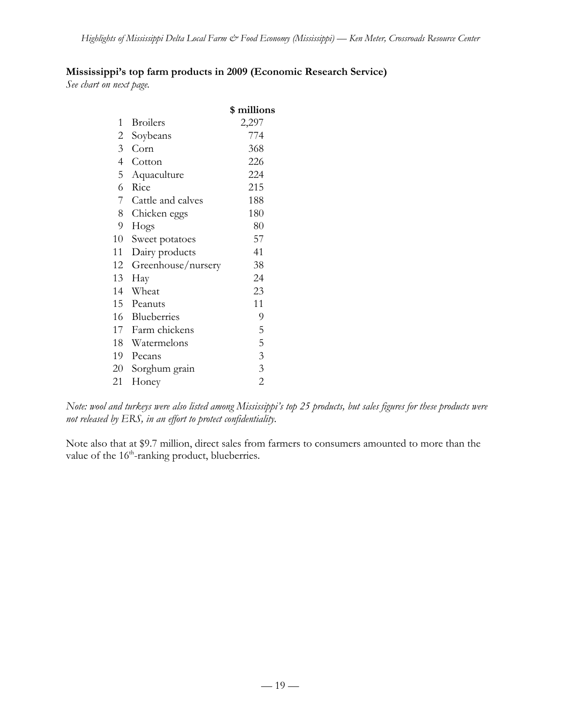# **Mississippi's top farm products in 2009 (Economic Research Service)**

*See chart on next page.*

|                |                    | \$ millions    |
|----------------|--------------------|----------------|
| 1              | <b>Broilers</b>    | 2,297          |
| $\overline{c}$ | Soybeans           | 774            |
| 3 <sup>7</sup> | Corn               | 368            |
| $\overline{4}$ | Cotton             | 226            |
| 5              | Aquaculture        | 224            |
| 6              | Rice               | 215            |
| 7              | Cattle and calves  | 188            |
| 8              | Chicken eggs       | 180            |
| 9              | Hogs               | 80             |
| 10             | Sweet potatoes     | 57             |
| 11             | Dairy products     | 41             |
| 12             | Greenhouse/nursery | 38             |
| 13             | Hay                | 24             |
| 14             | Wheat              | 23             |
|                | 15 Peanuts         | 11             |
| 16             | Blueberries        | 9              |
|                | 17 Farm chickens   | 5              |
|                | 18 Watermelons     | 5              |
|                | 19 Pecans          | $\mathfrak{Z}$ |
| 20             | Sorghum grain      | 3              |
| 21             | Honey              | $\overline{2}$ |

*Note: wool and turkeys were also listed among Mississippi's top 25 products, but sales figures for these products were not released by ERS, in an effort to protect confidentiality.*

Note also that at \$9.7 million, direct sales from farmers to consumers amounted to more than the value of the 16<sup>th</sup>-ranking product, blueberries.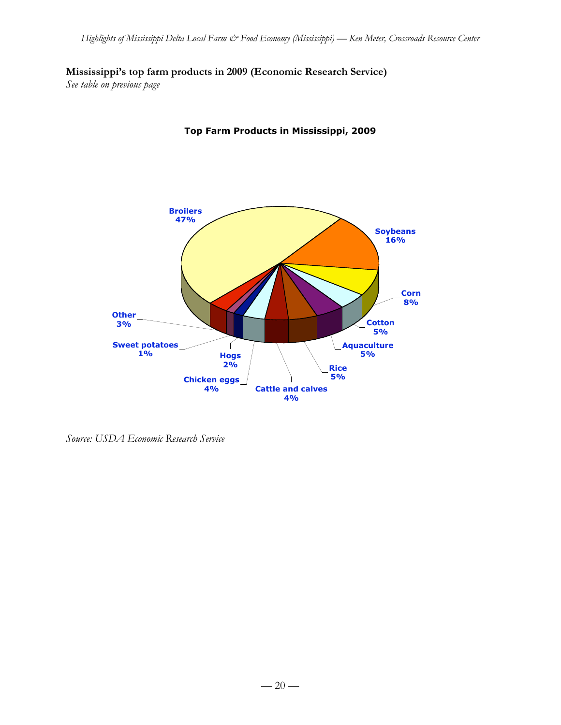# **Mississippi's top farm products in 2009 (Economic Research Service)**

*See table on previous page*



**Top Farm Products in Mississippi, 2009**

*Source: USDA Economic Research Service*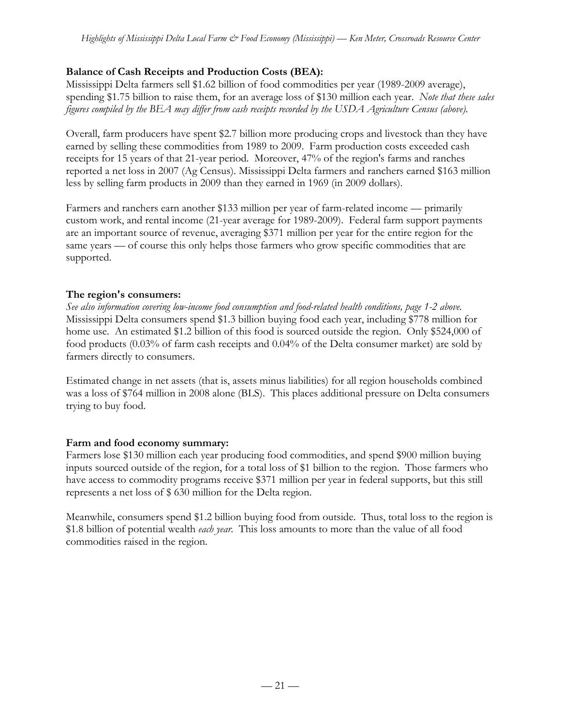# **Balance of Cash Receipts and Production Costs (BEA):**

Mississippi Delta farmers sell \$1.62 billion of food commodities per year (1989-2009 average), spending \$1.75 billion to raise them, for an average loss of \$130 million each year. *Note that these sales figures compiled by the BEA may differ from cash receipts recorded by the USDA Agriculture Census (above).*

Overall, farm producers have spent \$2.7 billion more producing crops and livestock than they have earned by selling these commodities from 1989 to 2009. Farm production costs exceeded cash receipts for 15 years of that 21-year period. Moreover, 47% of the region's farms and ranches reported a net loss in 2007 (Ag Census). Mississippi Delta farmers and ranchers earned \$163 million less by selling farm products in 2009 than they earned in 1969 (in 2009 dollars).

Farmers and ranchers earn another \$133 million per year of farm-related income — primarily custom work, and rental income (21-year average for 1989-2009). Federal farm support payments are an important source of revenue, averaging \$371 million per year for the entire region for the same years — of course this only helps those farmers who grow specific commodities that are supported.

# **The region's consumers:**

*See also information covering low-income food consumption and food-related health conditions, page 1-2 above.* Mississippi Delta consumers spend \$1.3 billion buying food each year, including \$778 million for home use. An estimated \$1.2 billion of this food is sourced outside the region. Only \$524,000 of food products (0.03% of farm cash receipts and 0.04% of the Delta consumer market) are sold by farmers directly to consumers.

Estimated change in net assets (that is, assets minus liabilities) for all region households combined was a loss of \$764 million in 2008 alone (BLS). This places additional pressure on Delta consumers trying to buy food.

# **Farm and food economy summary:**

Farmers lose \$130 million each year producing food commodities, and spend \$900 million buying inputs sourced outside of the region, for a total loss of \$1 billion to the region. Those farmers who have access to commodity programs receive \$371 million per year in federal supports, but this still represents a net loss of \$ 630 million for the Delta region.

Meanwhile, consumers spend \$1.2 billion buying food from outside. Thus, total loss to the region is \$1.8 billion of potential wealth *each year*. This loss amounts to more than the value of all food commodities raised in the region.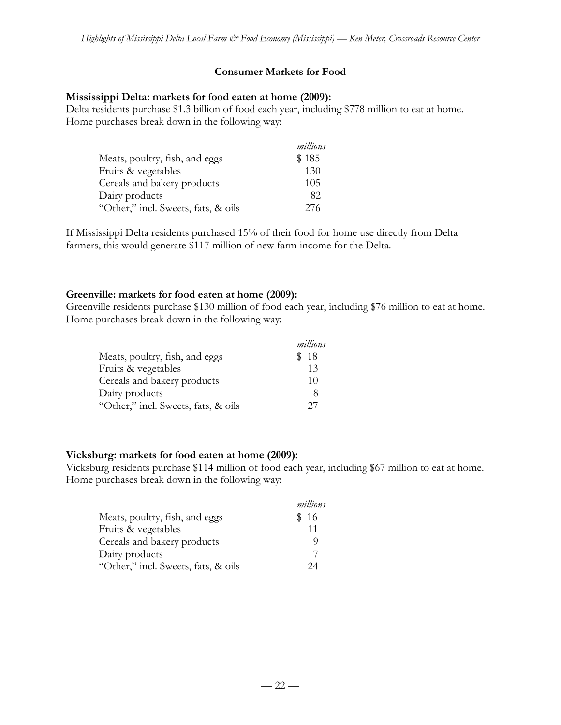### **Consumer Markets for Food**

#### **Mississippi Delta: markets for food eaten at home (2009):**

Delta residents purchase \$1.3 billion of food each year, including \$778 million to eat at home. Home purchases break down in the following way:

|                                     | millions |
|-------------------------------------|----------|
| Meats, poultry, fish, and eggs      | \$185    |
| Fruits & vegetables                 | 130      |
| Cereals and bakery products         | 105      |
| Dairy products                      | 82       |
| "Other," incl. Sweets, fats, & oils | 276      |

If Mississippi Delta residents purchased 15% of their food for home use directly from Delta farmers, this would generate \$117 million of new farm income for the Delta.

#### **Greenville: markets for food eaten at home (2009):**

Greenville residents purchase \$130 million of food each year, including \$76 million to eat at home. Home purchases break down in the following way:

|                                     | millions |
|-------------------------------------|----------|
| Meats, poultry, fish, and eggs      | \$18     |
| Fruits & vegetables                 | 13       |
| Cereals and bakery products         | 10       |
| Dairy products                      | Χ        |
| "Other," incl. Sweets, fats, & oils | 27       |

#### **Vicksburg: markets for food eaten at home (2009):**

Vicksburg residents purchase \$114 million of food each year, including \$67 million to eat at home. Home purchases break down in the following way:

|                                     | millions |
|-------------------------------------|----------|
| Meats, poultry, fish, and eggs      | \$16     |
| Fruits & vegetables                 | 11       |
| Cereals and bakery products         |          |
| Dairy products                      |          |
| "Other," incl. Sweets, fats, & oils | 24       |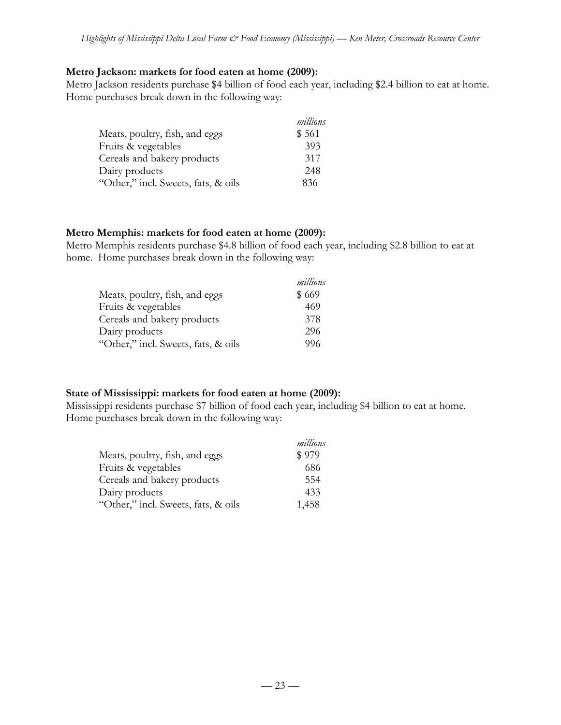#### **Metro Jackson: markets for food eaten at home (2009):**

Metro Jackson residents purchase \$4 billion of food each year, including \$2.4 billion to eat at home. Home purchases break down in the following way:

|                                     | millions |
|-------------------------------------|----------|
| Meats, poultry, fish, and eggs      | \$561    |
| Fruits & vegetables                 | 393      |
| Cereals and bakery products         | 317      |
| Dairy products                      | 248      |
| "Other," incl. Sweets, fats, & oils | 836      |

#### **Metro Memphis: markets for food eaten at home (2009):**

Metro Memphis residents purchase \$4.8 billion of food each year, including \$2.8 billion to eat at home. Home purchases break down in the following way:

|                                     | millions |
|-------------------------------------|----------|
| Meats, poultry, fish, and eggs      | \$669    |
| Fruits & vegetables                 | 469      |
| Cereals and bakery products         | 378      |
| Dairy products                      | 296      |
| "Other," incl. Sweets, fats, & oils | 996      |

#### **State of Mississippi: markets for food eaten at home (2009):**

Mississippi residents purchase \$7 billion of food each year, including \$4 billion to eat at home. Home purchases break down in the following way:

|                                     | millions |
|-------------------------------------|----------|
| Meats, poultry, fish, and eggs      | \$979    |
| Fruits & vegetables                 | 686      |
| Cereals and bakery products         | 554      |
| Dairy products                      | 433      |
| "Other," incl. Sweets, fats, & oils | 1,458    |